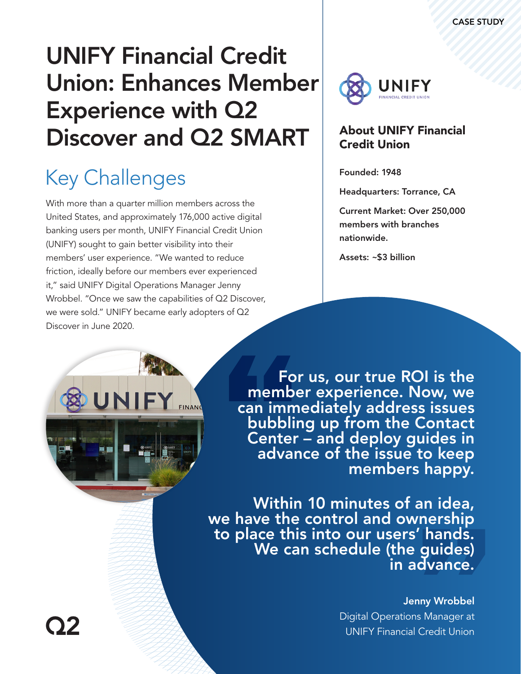# UNIFY Financial Credit Union: Enhances Member Experience with Q2 Discover and Q2 SMART

# Key Challenges

With more than a quarter million members across the United States, and approximately 176,000 active digital banking users per month, UNIFY Financial Credit Union (UNIFY) sought to gain better visibility into their members' user experience. "We wanted to reduce friction, ideally before our members ever experienced it," said UNIFY Digital Operations Manager Jenny Wrobbel. "Once we saw the capabilities of Q2 Discover, we were sold." UNIFY became early adopters of Q2 Discover in June 2020.

FINANC



### About UNIFY Financial Credit Union

Founded: 1948

Headquarters: Torrance, CA

Current Market: Over 250,000 members with branches nationwide.

Assets: ~\$3 billion

For us, our true ROI is the member experience. Now, we can immediately address issues bubbling up from the Contact Center – and deploy guides in advance of the issue to keep<br>.members happy

Within 10 minutes of an idea, we have the control and ownership<br>to place this into our users' hands. We can schedule (the guides)<br>in advance.

#### Jenny Wrobbel

Digital Operations Manager at UNIFY Financial Credit Union